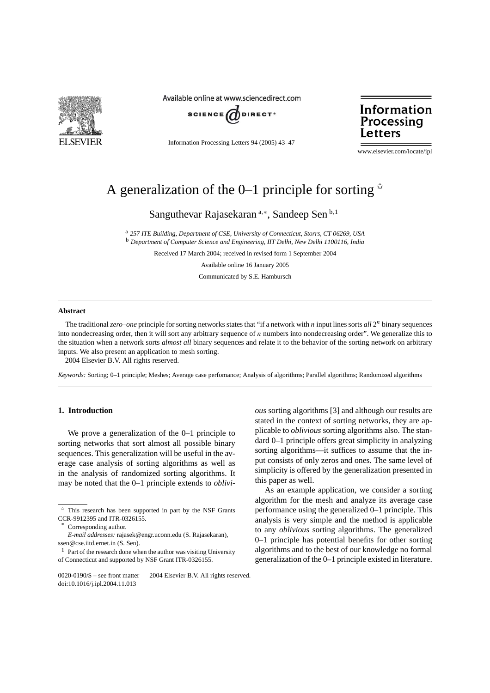

Available online at www.sciencedirect.com



Information Processing Letters 94 (2005) 43–47

Information Processing Letters

www.elsevier.com/locate/ipl

# A generalization of the 0–1 principle for sorting  $\dot{x}$

Sanguthevar Rajasekaran<sup>a,∗</sup>, Sandeep Sen<sup>b,1</sup>

<sup>a</sup> *257 ITE Building, Department of CSE, University of Connecticut, Storrs, CT 06269, USA* <sup>b</sup> *Department of Computer Science and Engineering, IIT Delhi, New Delhi 1100116, India*

Received 17 March 2004; received in revised form 1 September 2004

Available online 16 January 2005

Communicated by S.E. Hambursch

#### **Abstract**

The traditional *zero–one* principle for sorting networks states that "if a network with *n* input lines sorts *all* 2*<sup>n</sup>* binary sequences into nondecreasing order, then it will sort any arbitrary sequence of *n* numbers into nondecreasing order". We generalize this to the situation when a network sorts *almost all* binary sequences and relate it to the behavior of the sorting network on arbitrary inputs. We also present an application to mesh sorting.

2004 Elsevier B.V. All rights reserved.

*Keywords:* Sorting; 0–1 principle; Meshes; Average case perfomance; Analysis of algorithms; Parallel algorithms; Randomized algorithms

## **1. Introduction**

We prove a generalization of the 0–1 principle to sorting networks that sort almost all possible binary sequences. This generalization will be useful in the average case analysis of sorting algorithms as well as in the analysis of randomized sorting algorithms. It may be noted that the 0–1 principle extends to *oblivi-* *ous* sorting algorithms [3] and although our results are stated in the context of sorting networks, they are applicable to *oblivious* sorting algorithms also. The standard 0–1 principle offers great simplicity in analyzing sorting algorithms—it suffices to assume that the input consists of only zeros and ones. The same level of simplicity is offered by the generalization presented in this paper as well.

As an example application, we consider a sorting algorithm for the mesh and analyze its average case performance using the generalized 0–1 principle. This analysis is very simple and the method is applicable to any *oblivious* sorting algorithms. The generalized 0–1 principle has potential benefits for other sorting algorithms and to the best of our knowledge no formal generalization of the 0–1 principle existed in literature.

This research has been supported in part by the NSF Grants CCR-9912395 and ITR-0326155.

Corresponding author.

*E-mail addresses:* rajasek@engr.uconn.edu (S. Rajasekaran), ssen@cse.iitd.ernet.in (S. Sen).

 $1$  Part of the research done when the author was visiting University of Connecticut and supported by NSF Grant ITR-0326155.

<sup>0020-0190/\$ –</sup> see front matter © 2004 Elsevier B.V. All rights reserved. doi:10.1016/j.ipl.2004.11.013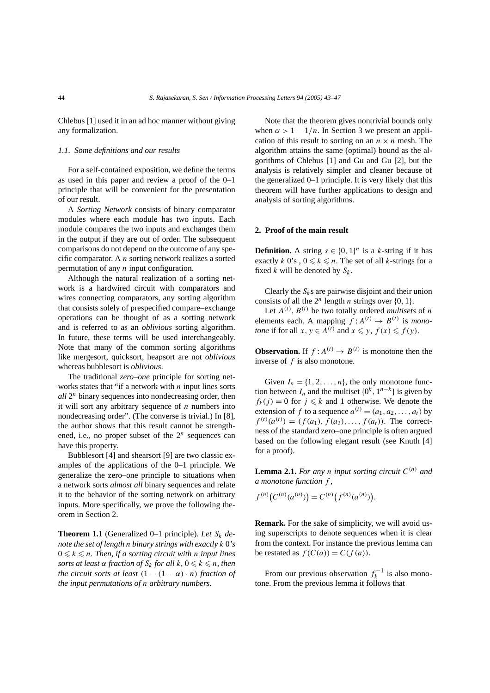Chlebus [1] used it in an ad hoc manner without giving any formalization.

### *1.1. Some definitions and our results*

For a self-contained exposition, we define the terms as used in this paper and review a proof of the 0–1 principle that will be convenient for the presentation of our result.

A *Sorting Network* consists of binary comparator modules where each module has two inputs. Each module compares the two inputs and exchanges them in the output if they are out of order. The subsequent comparisons do not depend on the outcome of any specific comparator. A *n* sorting network realizes a sorted permutation of any *n* input configuration.

Although the natural realization of a sorting network is a hardwired circuit with comparators and wires connecting comparators, any sorting algorithm that consists solely of prespecified compare–exchange operations can be thought of as a sorting network and is referred to as an *oblivious* sorting algorithm. In future, these terms will be used interchangeably. Note that many of the common sorting algorithms like mergesort, quicksort, heapsort are not *oblivious* whereas bubblesort is *oblivious*.

The traditional *zero–one* principle for sorting networks states that "if a network with *n* input lines sorts *all* 2*<sup>n</sup>* binary sequences into nondecreasing order, then it will sort any arbitrary sequence of *n* numbers into nondecreasing order". (The converse is trivial.) In [8], the author shows that this result cannot be strengthened, i.e., no proper subset of the  $2^n$  sequences can have this property.

Bubblesort [4] and shearsort [9] are two classic examples of the applications of the 0–1 principle. We generalize the zero–one principle to situations when a network sorts *almost all* binary sequences and relate it to the behavior of the sorting network on arbitrary inputs. More specifically, we prove the following theorem in Section 2.

**Theorem 1.1** (Generalized 0–1 principle)*. Let Sk denote the set of length n binary strings with exactly k* 0*'s*  $0 \leq k \leq n$ . Then, if a sorting circuit with *n* input lines *sorts at least*  $\alpha$  *fraction of*  $S_k$  *for all*  $k, 0 \leq k \leq n$ *, then the circuit sorts at least*  $(1 - (1 - \alpha) \cdot n)$  *fraction of the input permutations of n arbitrary numbers.*

Note that the theorem gives nontrivial bounds only when  $\alpha > 1 - 1/n$ . In Section 3 we present an application of this result to sorting on an  $n \times n$  mesh. The algorithm attains the same (optimal) bound as the algorithms of Chlebus [1] and Gu and Gu [2], but the analysis is relatively simpler and cleaner because of the generalized 0–1 principle. It is very likely that this theorem will have further applications to design and analysis of sorting algorithms.

#### **2. Proof of the main result**

**Definition.** A string  $s \in \{0, 1\}^n$  is a *k*-string if it has exactly *k* 0's,  $0 \le k \le n$ . The set of all *k*-strings for a fixed  $k$  will be denoted by  $S_k$ .

Clearly the  $S_k$ s are pairwise disjoint and their union consists of all the  $2^n$  length *n* strings over  $\{0, 1\}$ .

Let  $A^{(t)}$ ,  $B^{(t)}$  be two totally ordered *multisets* of *n* elements each. A mapping  $f: A^{(t)} \rightarrow B^{(t)}$  is *monotone* if for all *x*,  $y \in A^{(t)}$  and  $x \leq y$ ,  $f(x) \leq f(y)$ .

**Observation.** If  $f: A^{(t)} \to B^{(t)}$  is monotone then the inverse of *f* is also monotone.

Given  $I_n = \{1, 2, \ldots, n\}$ , the only monotone function between  $I_n$  and the multiset  $\{0^k, 1^{n-k}\}$  is given by  $f_k(j) = 0$  for  $j \leq k$  and 1 otherwise. We denote the extension of *f* to a sequence  $a^{(t)} = (a_1, a_2, \dots, a_t)$  by  $f^{(t)}(a^{(t)}) = (f(a_1), f(a_2), \ldots, f(a_t))$ . The correctness of the standard zero–one principle is often argued based on the following elegant result (see Knuth [4] for a proof).

**Lemma 2.1.** *For any n input sorting circuit*  $C^{(n)}$  *and a monotone function f ,*

$$
f^{(n)}(C^{(n)}(a^{(n)})) = C^{(n)}(f^{(n)}(a^{(n)})).
$$

**Remark.** For the sake of simplicity, we will avoid using superscripts to denote sequences when it is clear from the context. For instance the previous lemma can be restated as  $f(C(a)) = C(f(a))$ .

From our previous observation  $f_k^{-1}$  is also monotone. From the previous lemma it follows that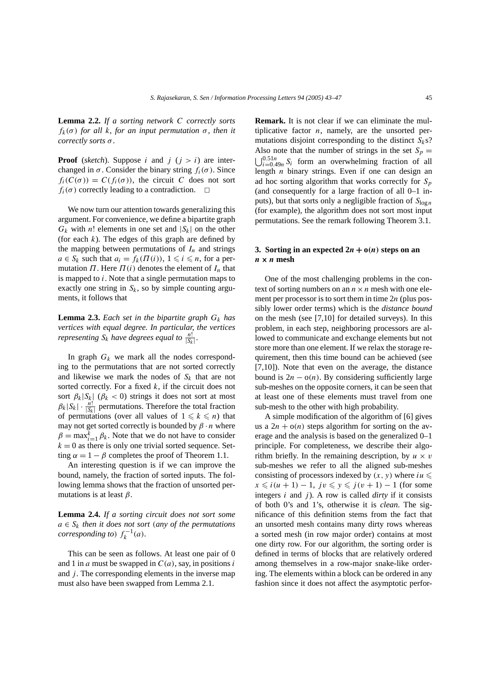**Lemma 2.2.** *If a sorting network C correctly sorts f<sub>k</sub>*( $σ$ ) *for all k, for an input permutation*  $σ$ *, then it correctly sorts σ .*

**Proof** (*sketch*). Suppose *i* and  $j$  ( $j > i$ ) are interchanged in  $\sigma$ . Consider the binary string  $f_i(\sigma)$ . Since  $f_i(C(\sigma)) = C(f_i(\sigma))$ , the circuit *C* does not sort  $f_i(\sigma)$  correctly leading to a contradiction.

We now turn our attention towards generalizing this argument. For convenience, we define a bipartite graph  $G_k$  with *n*! elements in one set and  $|S_k|$  on the other (for each  $k$ ). The edges of this graph are defined by the mapping between permutations of  $I_n$  and strings  $a \in S_k$  such that  $a_i = f_k(\Pi(i))$ ,  $1 \leq i \leq n$ , for a permutation  $\Pi$ . Here  $\Pi(i)$  denotes the element of  $I_n$  that is mapped to *i*. Note that a single permutation maps to exactly one string in  $S_k$ , so by simple counting arguments, it follows that

**Lemma 2.3.** *Each set in the bipartite graph*  $G_k$  *has vertices with equal degree. In particular, the vertices representing*  $S_k$  *have degrees equal to*  $\frac{n!}{|S_k|}$ *.* 

In graph  $G_k$  we mark all the nodes corresponding to the permutations that are not sorted correctly and likewise we mark the nodes of *Sk* that are not sorted correctly. For a fixed *k*, if the circuit does not sort  $\beta_k |S_k|$  ( $\beta_k < 0$ ) strings it does not sort at most  $\beta_k |S_k| \cdot \frac{n!}{|S_k|}$  permutations. Therefore the total fraction of permutations (over all values of  $1 \leq k \leq n$ ) that may not get sorted correctly is bounded by  $\beta \cdot n$  where  $\beta = \max_{i=1}^{k} \beta_k$ . Note that we do not have to consider  $k = 0$  as there is only one trivial sorted sequence. Setting  $\alpha = 1 - \beta$  completes the proof of Theorem 1.1.

An interesting question is if we can improve the bound, namely, the fraction of sorted inputs. The following lemma shows that the fraction of unsorted permutations is at least *β*.

**Lemma 2.4.** *If a sorting circuit does not sort some*  $a \in S_k$  *then it does not sort (any of the permutations corresponding to)*  $f_k^{-1}(a)$ *.* 

This can be seen as follows. At least one pair of 0 and 1 in *a* must be swapped in *C(a)*, say, in positions *i* and *j*. The corresponding elements in the inverse map must also have been swapped from Lemma 2.1.

**Remark.** It is not clear if we can eliminate the multiplicative factor *n*, namely, are the unsorted permutations disjoint corresponding to the distinct  $S_k$ s? Also note that the number of strings in the set  $S_p =$  $\bigcup_{i=0.49n}^{0.51n} S_i$  form an overwhelming fraction of all length *n* binary strings. Even if one can design an ad hoc sorting algorithm that works correctly for *Sp* (and consequently for a large fraction of all 0–1 inputs), but that sorts only a negligible fraction of  $S_{\log n}$ (for example), the algorithm does not sort most input permutations. See the remark following Theorem 3.1.

# **3.** Sorting in an expected  $2n + o(n)$  steps on an  $n \times n$  mesh

One of the most challenging problems in the context of sorting numbers on an  $n \times n$  mesh with one element per processor is to sort them in time 2*n* (plus possibly lower order terms) which is the *distance bound* on the mesh (see [7,10] for detailed surveys). In this problem, in each step, neighboring processors are allowed to communicate and exchange elements but not store more than one element. If we relax the storage requirement, then this time bound can be achieved (see [7,10]). Note that even on the average, the distance bound is  $2n - o(n)$ . By considering sufficiently large sub-meshes on the opposite corners, it can be seen that at least one of these elements must travel from one sub-mesh to the other with high probability.

A simple modification of the algorithm of [6] gives us a  $2n + o(n)$  steps algorithm for sorting on the average and the analysis is based on the generalized 0–1 principle. For completeness, we describe their algorithm briefly. In the remaining description, by  $u \times v$ sub-meshes we refer to all the aligned sub-meshes consisting of processors indexed by  $(x, y)$  where  $iu \leq$  $x \le i(u+1) - 1$ ,  $jv \le y \le j(v+1) - 1$  (for some integers *i* and *j* ). A row is called *dirty* if it consists of both 0's and 1's, otherwise it is *clean*. The significance of this definition stems from the fact that an unsorted mesh contains many dirty rows whereas a sorted mesh (in row major order) contains at most one dirty row. For our algorithm, the sorting order is defined in terms of blocks that are relatively ordered among themselves in a row-major snake-like ordering. The elements within a block can be ordered in any fashion since it does not affect the asymptotic perfor-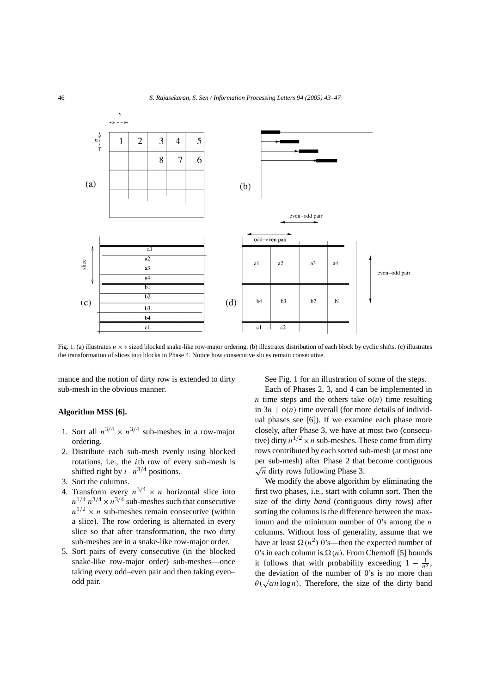

Fig. 1. (a) illustrates  $u \times v$  sized blocked snake-like row-major ordering. (b) illustrates distribution of each block by cyclic shifts. (c) illustrates the transformation of slices into blocks in Phase 4. Notice how consecutive slices remain consecutive.

mance and the notion of dirty row is extended to dirty sub-mesh in the obvious manner.

## **Algorithm MSS [6].**

- 1. Sort all  $n^{3/4} \times n^{3/4}$  sub-meshes in a row-major ordering.
- 2. Distribute each sub-mesh evenly using blocked rotations, i.e., the *i*th row of every sub-mesh is shifted right by  $i \cdot n^{3/4}$  positions.
- 3. Sort the columns.
- 4. Transform every  $n^{3/4} \times n$  horizontal slice into  $n^{1/4}$   $n^{3/4} \times n^{3/4}$  sub-meshes such that consecutive  $n^{1/2} \times n$  sub-meshes remain consecutive (within a slice). The row ordering is alternated in every slice so that after transformation, the two dirty sub-meshes are in a snake-like row-major order.
- 5. Sort pairs of every consecutive (in the blocked snake-like row-major order) sub-meshes—once taking every odd–even pair and then taking even– odd pair.

See Fig. 1 for an illustration of some of the steps.

Each of Phases 2, 3, and 4 can be implemented in *n* time steps and the others take  $o(n)$  time resulting in  $3n + o(n)$  time overall (for more details of individual phases see [6]). If we examine each phase more closely, after Phase 3, we have at most two (consecutive) dirty  $n^{1/2} \times n$  sub-meshes. These come from dirty rows contributed by each sorted sub-mesh (at most one per sub-mesh) after Phase 2 that become contiguous  $\sqrt{n}$  dirty rows following Phase 3.

We modify the above algorithm by eliminating the first two phases, i.e., start with column sort. Then the size of the dirty *band* (contiguous dirty rows) after sorting the columns is the difference between the maximum and the minimum number of 0's among the *n* columns. Without loss of generality, assume that we have at least  $\Omega(n^2)$  0's—then the expected number of 0's in each column is  $\Omega(n)$ . From Chernoff [5] bounds it follows that with probability exceeding  $1 - \frac{1}{n^{\alpha}}$ , the deviation of the number of 0's is no more than  $\theta(\sqrt{a n \log n})$ . Therefore, the size of the dirty band